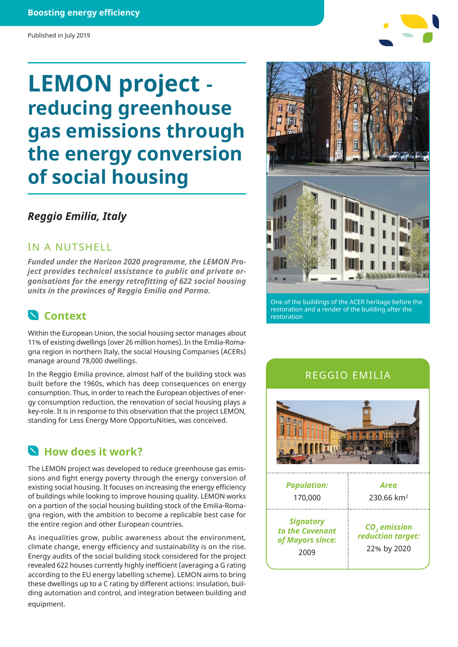#### **Boosting energy efficiency**

#### Published in July 2019

# **LEMON project reducing greenhouse gas emissions through the energy conversion of social housing**

### *Reggio Emilia, Italy*

### IN A NUTSHELL

*Funded under the Horizon 2020 programme, the LEMON Project provides technical assistance to public and private organisations for the energy retrofitting of 622 social housing units in the provinces of Reggio Emilia and Parma.*



Within the European Union, the social housing sector manages about 11% of existing dwellings (over 26 million homes). In the Emilia-Romagna region in northern Italy, the social Housing Companies (ACERs) manage around 78,000 dwellings.

In the Reggio Emilia province, almost half of the building stock was built before the 1960s, which has deep consequences on energy consumption. Thus, in order to reach the European objectives of energy consumption reduction, the renovation of social housing plays a key-role. It is in response to this observation that the project LEMON, standing for Less Energy More OpportuNities, was conceived.

### **How does it work?**

The LEMON project was developed to reduce greenhouse gas emissions and fight energy poverty through the energy conversion of existing social housing. It focuses on increasing the energy efficiency of buildings while looking to improve housing quality. LEMON works on a portion of the social housing building stock of the Emilia-Romagna region, with the ambition to become a replicable best case for the entire region and other European countries.

As inequalities grow, public awareness about the environment, climate change, energy efficiency and sustainability is on the rise. Energy audits of the social building stock considered for the project revealed 622 houses currently highly inefficient (averaging a G rating according to the EU energy labelling scheme). LEMON aims to bring these dwellings up to a C rating by different actions: insulation, building automation and control, and integration between building and equipment.



One of the buildings of the ACER heritage before the restoration and a render of the building after the restoration

#### REGGIO EMILIA